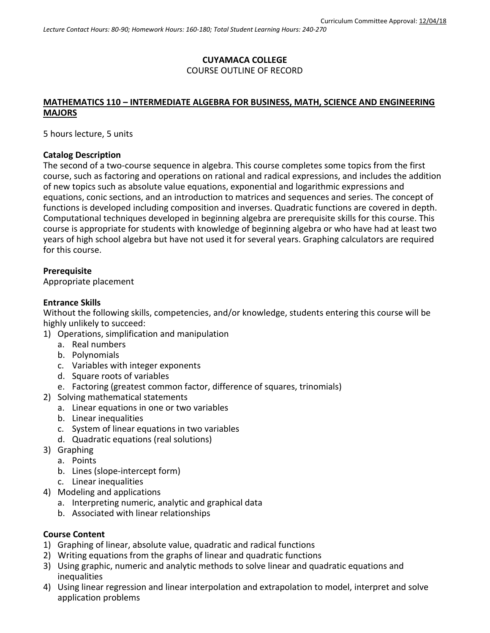# **CUYAMACA COLLEGE** COURSE OUTLINE OF RECORD

# **MATHEMATICS 110 – INTERMEDIATE ALGEBRA FOR BUSINESS, MATH, SCIENCE AND ENGINEERING MAJORS**

5 hours lecture, 5 units

#### **Catalog Description**

The second of a two-course sequence in algebra. This course completes some topics from the first course, such as factoring and operations on rational and radical expressions, and includes the addition of new topics such as absolute value equations, exponential and logarithmic expressions and equations, conic sections, and an introduction to matrices and sequences and series. The concept of functions is developed including composition and inverses. Quadratic functions are covered in depth. Computational techniques developed in beginning algebra are prerequisite skills for this course. This course is appropriate for students with knowledge of beginning algebra or who have had at least two years of high school algebra but have not used it for several years. Graphing calculators are required for this course.

## **Prerequisite**

Appropriate placement

## **Entrance Skills**

Without the following skills, competencies, and/or knowledge, students entering this course will be highly unlikely to succeed:

- 1) Operations, simplification and manipulation
	- a. Real numbers
	- b. Polynomials
	- c. Variables with integer exponents
	- d. Square roots of variables
	- e. Factoring (greatest common factor, difference of squares, trinomials)
- 2) Solving mathematical statements
	- a. Linear equations in one or two variables
	- b. Linear inequalities
	- c. System of linear equations in two variables
	- d. Quadratic equations (real solutions)
- 3) Graphing
	- a. Points
		- b. Lines (slope-intercept form)
		- c. Linear inequalities
- 4) Modeling and applications
	- a. Interpreting numeric, analytic and graphical data
	- b. Associated with linear relationships

## **Course Content**

- 1) Graphing of linear, absolute value, quadratic and radical functions
- 2) Writing equations from the graphs of linear and quadratic functions
- 3) Using graphic, numeric and analytic methods to solve linear and quadratic equations and inequalities
- 4) Using linear regression and linear interpolation and extrapolation to model, interpret and solve application problems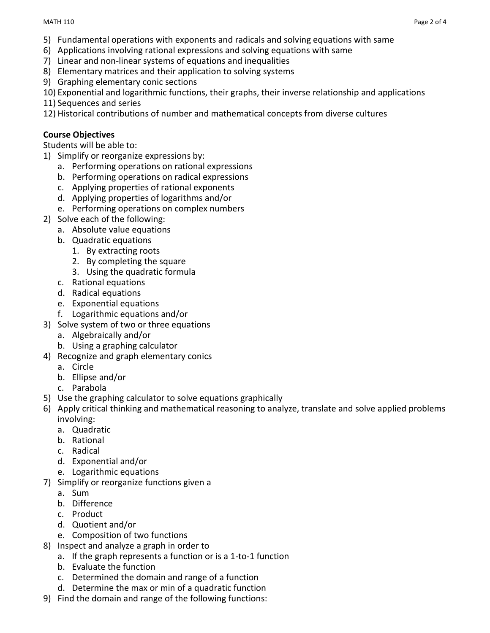- 5) Fundamental operations with exponents and radicals and solving equations with same
- 6) Applications involving rational expressions and solving equations with same
- 7) Linear and non-linear systems of equations and inequalities
- 8) Elementary matrices and their application to solving systems
- 9) Graphing elementary conic sections

10) Exponential and logarithmic functions, their graphs, their inverse relationship and applications

- 11) Sequences and series
- 12) Historical contributions of number and mathematical concepts from diverse cultures

## **Course Objectives**

Students will be able to:

- 1) Simplify or reorganize expressions by:
	- a. Performing operations on rational expressions
	- b. Performing operations on radical expressions
	- c. Applying properties of rational exponents
	- d. Applying properties of logarithms and/or
	- e. Performing operations on complex numbers
- 2) Solve each of the following:
	- a. Absolute value equations
	- b. Quadratic equations
		- 1. By extracting roots
		- 2. By completing the square
		- 3. Using the quadratic formula
	- c. Rational equations
	- d. Radical equations
	- e. Exponential equations
	- f. Logarithmic equations and/or
- 3) Solve system of two or three equations
	- a. Algebraically and/or
	- b. Using a graphing calculator
- 4) Recognize and graph elementary conics
	- a. Circle
	- b. Ellipse and/or
	- c. Parabola
- 5) Use the graphing calculator to solve equations graphically
- 6) Apply critical thinking and mathematical reasoning to analyze, translate and solve applied problems involving:
	- a. Quadratic
	- b. Rational
	- c. Radical
	- d. Exponential and/or
	- e. Logarithmic equations
- 7) Simplify or reorganize functions given a
	- a. Sum
	- b. Difference
	- c. Product
	- d. Quotient and/or
	- e. Composition of two functions
- 8) Inspect and analyze a graph in order to
	- a. If the graph represents a function or is a 1-to-1 function
	- b. Evaluate the function
	- c. Determined the domain and range of a function
	- d. Determine the max or min of a quadratic function
- 9) Find the domain and range of the following functions: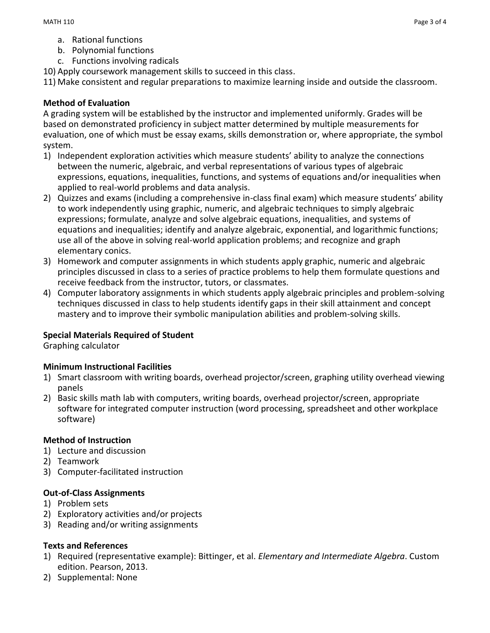- a. Rational functions
- b. Polynomial functions
- c. Functions involving radicals
- 10) Apply coursework management skills to succeed in this class.

11) Make consistent and regular preparations to maximize learning inside and outside the classroom.

#### **Method of Evaluation**

A grading system will be established by the instructor and implemented uniformly. Grades will be based on demonstrated proficiency in subject matter determined by multiple measurements for evaluation, one of which must be essay exams, skills demonstration or, where appropriate, the symbol system.

- 1) Independent exploration activities which measure students' ability to analyze the connections between the numeric, algebraic, and verbal representations of various types of algebraic expressions, equations, inequalities, functions, and systems of equations and/or inequalities when applied to real-world problems and data analysis.
- 2) Quizzes and exams (including a comprehensive in-class final exam) which measure students' ability to work independently using graphic, numeric, and algebraic techniques to simply algebraic expressions; formulate, analyze and solve algebraic equations, inequalities, and systems of equations and inequalities; identify and analyze algebraic, exponential, and logarithmic functions; use all of the above in solving real-world application problems; and recognize and graph elementary conics.
- 3) Homework and computer assignments in which students apply graphic, numeric and algebraic principles discussed in class to a series of practice problems to help them formulate questions and receive feedback from the instructor, tutors, or classmates.
- 4) Computer laboratory assignments in which students apply algebraic principles and problem-solving techniques discussed in class to help students identify gaps in their skill attainment and concept mastery and to improve their symbolic manipulation abilities and problem-solving skills.

## **Special Materials Required of Student**

Graphing calculator

#### **Minimum Instructional Facilities**

- 1) Smart classroom with writing boards, overhead projector/screen, graphing utility overhead viewing panels
- 2) Basic skills math lab with computers, writing boards, overhead projector/screen, appropriate software for integrated computer instruction (word processing, spreadsheet and other workplace software)

#### **Method of Instruction**

- 1) Lecture and discussion
- 2) Teamwork
- 3) Computer-facilitated instruction

#### **Out-of-Class Assignments**

- 1) Problem sets
- 2) Exploratory activities and/or projects
- 3) Reading and/or writing assignments

## **Texts and References**

- 1) Required (representative example): Bittinger, et al. *Elementary and Intermediate Algebra*. Custom edition. Pearson, 2013.
- 2) Supplemental: None